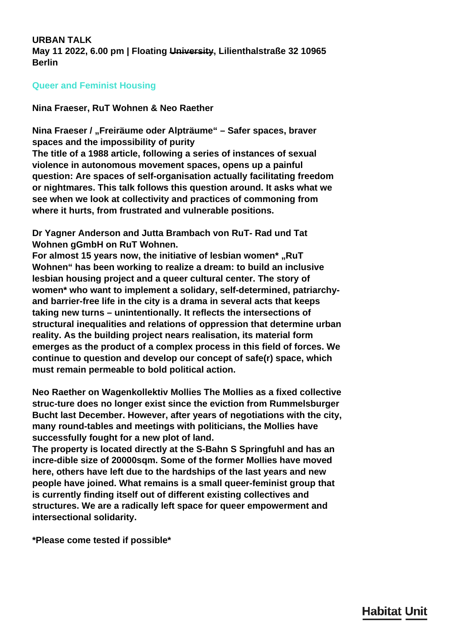<span id="page-0-0"></span>**URBAN TALK May 11 2022, 6.00 pm | Floating University, Lilienthalstraße 32 10965 Berlin**

## **Queer and Feminist Housing**

**Nina Fraeser, RuT Wohnen & Neo Raether**

**Nina Fraeser / "Freiräume oder Alpträume" – Safer spaces, braver spaces and the impossibility of purity**

**The title of a 1988 article, following a series of instances of sexual violence in autonomous movement spaces, opens up a painful question: Are spaces of self-organisation actually facilitating freedom or nightmares. This talk follows this question around. It asks what we see when we look at collectivity and practices of commoning from where it hurts, from frustrated and vulnerable positions.**

**Dr Yagner Anderson and Jutta Brambach von RuT- Rad und Tat Wohnen gGmbH on RuT Wohnen.**

**For almost 15 years now, the initiative of lesbian women\* "RuT Wohnen" has been working to realize a dream: to build an inclusive lesbian housing project and a queer cultural center. The story of women\* who want to implement a solidary, self-determined, patriarchyand barrier-free life in the city is a drama in several acts that keeps taking new turns – unintentionally. It reflects the intersections of structural inequalities and relations of oppression that determine urban reality. As the building project nears realisation, its material form emerges as the product of a complex process in this field of forces. We continue to question and develop our concept of safe(r) space, which must remain permeable to bold political action.**

**Neo Raether on Wagenkollektiv Mollies The Mollies as a fixed collective struc-ture does no longer exist since the eviction from Rummelsburger Bucht last December. However, after years of negotiations with the city, many round-tables and meetings with politicians, the Mollies have successfully fought for a new plot of land.**

**The property is located directly at the S-Bahn S Springfuhl and has an incre-dible size of 20000sqm. Some of the former Mollies have moved here, others have left due to the hardships of the last years and new people have joined. What remains is a small queer-feminist group that is currently finding itself out of different existing collectives and structures. We are a radically left space for queer empowerment and intersectional solidarity.**

**\*Please come tested if possible\***